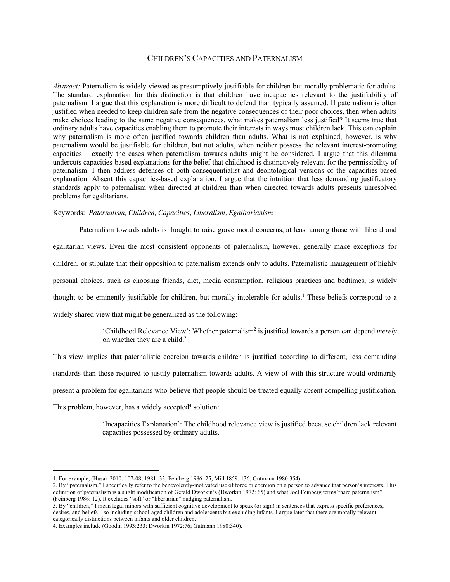## CHILDREN'S CAPACITIES AND PATERNALISM

*Abstract:* Paternalism is widely viewed as presumptively justifiable for children but morally problematic for adults. The standard explanation for this distinction is that children have incapacities relevant to the justifiability of paternalism. I argue that this explanation is more difficult to defend than typically assumed. If paternalism is often justified when needed to keep children safe from the negative consequences of their poor choices, then when adults make choices leading to the same negative consequences, what makes paternalism less justified? It seems true that ordinary adults have capacities enabling them to promote their interests in ways most children lack. This can explain why paternalism is more often justified towards children than adults. What is not explained, however, is why paternalism would be justifiable for children, but not adults, when neither possess the relevant interest-promoting capacities – exactly the cases when paternalism towards adults might be considered. I argue that this dilemma undercuts capacities-based explanations for the belief that childhood is distinctively relevant for the permissibility of paternalism. I then address defenses of both consequentialist and deontological versions of the capacities-based explanation. Absent this capacities-based explanation, I argue that the intuition that less demanding justificatory standards apply to paternalism when directed at children than when directed towards adults presents unresolved problems for egalitarians.

#### Keywords: *Paternalism, Children, Capacities, Liberalism, Egalitarianism*

Paternalism towards adults is thought to raise grave moral concerns, at least among those with liberal and egalitarian views. Even the most consistent opponents of paternalism, however, generally make exceptions for children, or stipulate that their opposition to paternalism extends only to adults. Paternalistic management of highly personal choices, such as choosing friends, diet, media consumption, religious practices and bedtimes, is widely thought to be eminently justifiable for children, but morally intolerable for adults. <sup>1</sup> These beliefs correspond to a widely shared view that might be generalized as the following:

> 'Childhood Relevance View': Whether paternalism2 is justified towards a person can depend *merely*  on whether they are a child.<sup>3</sup>

This view implies that paternalistic coercion towards children is justified according to different, less demanding standards than those required to justify paternalism towards adults. A view of with this structure would ordinarily present a problem for egalitarians who believe that people should be treated equally absent compelling justification. This problem, however, has a widely accepted<sup>4</sup> solution:

> 'Incapacities Explanation': The childhood relevance view is justified because children lack relevant capacities possessed by ordinary adults.

<sup>1.</sup> For example, (Husak 2010: 107-08; 1981: 33; Feinberg 1986: 25; Mill 1859: 136; Gutmann 1980:354).

<sup>2.</sup> By "paternalism," I specifically refer to the benevolently-motivated use of force or coercion on a person to advance that person's interests. This definition of paternalism is a slight modification of Gerald Dworkin's (Dworkin 1972: 65) and what Joel Feinberg terms "hard paternalism" (Feinberg 1986: 12). It excludes "soft" or "libertarian" nudging paternalism.

<sup>3.</sup> By "children," I mean legal minors with sufficient cognitive development to speak (or sign) in sentences that express specific preferences, desires, and beliefs – so including school-aged children and adolescents but excluding infants. I argue later that there are morally relevant categorically distinctions between infants and older children.

<sup>4.</sup> Examples include (Goodin 1993:233; Dworkin 1972:76; Gutmann 1980:340).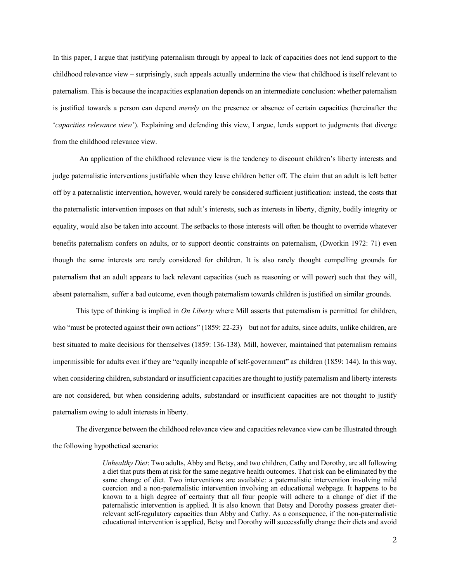In this paper, I argue that justifying paternalism through by appeal to lack of capacities does not lend support to the childhood relevance view – surprisingly, such appeals actually undermine the view that childhood is itself relevant to paternalism. This is because the incapacities explanation depends on an intermediate conclusion: whether paternalism is justified towards a person can depend *merely* on the presence or absence of certain capacities (hereinafter the '*capacities relevance view*'). Explaining and defending this view, I argue, lends support to judgments that diverge from the childhood relevance view.

An application of the childhood relevance view is the tendency to discount children's liberty interests and judge paternalistic interventions justifiable when they leave children better off. The claim that an adult is left better off by a paternalistic intervention, however, would rarely be considered sufficient justification: instead, the costs that the paternalistic intervention imposes on that adult's interests, such as interests in liberty, dignity, bodily integrity or equality, would also be taken into account. The setbacks to those interests will often be thought to override whatever benefits paternalism confers on adults, or to support deontic constraints on paternalism, (Dworkin 1972: 71) even though the same interests are rarely considered for children. It is also rarely thought compelling grounds for paternalism that an adult appears to lack relevant capacities (such as reasoning or will power) such that they will, absent paternalism, suffer a bad outcome, even though paternalism towards children is justified on similar grounds.

This type of thinking is implied in *On Liberty* where Mill asserts that paternalism is permitted for children, who "must be protected against their own actions" (1859: 22-23) – but not for adults, since adults, unlike children, are best situated to make decisions for themselves (1859: 136-138). Mill, however, maintained that paternalism remains impermissible for adults even if they are "equally incapable of self-government" as children (1859: 144). In this way, when considering children, substandard or insufficient capacities are thought to justify paternalism and liberty interests are not considered, but when considering adults, substandard or insufficient capacities are not thought to justify paternalism owing to adult interests in liberty.

The divergence between the childhood relevance view and capacities relevance view can be illustrated through the following hypothetical scenario:

> *Unhealthy Diet*: Two adults, Abby and Betsy, and two children, Cathy and Dorothy, are all following a diet that puts them at risk for the same negative health outcomes. That risk can be eliminated by the same change of diet. Two interventions are available: a paternalistic intervention involving mild coercion and a non-paternalistic intervention involving an educational webpage. It happens to be known to a high degree of certainty that all four people will adhere to a change of diet if the paternalistic intervention is applied. It is also known that Betsy and Dorothy possess greater dietrelevant self-regulatory capacities than Abby and Cathy. As a consequence, if the non-paternalistic educational intervention is applied, Betsy and Dorothy will successfully change their diets and avoid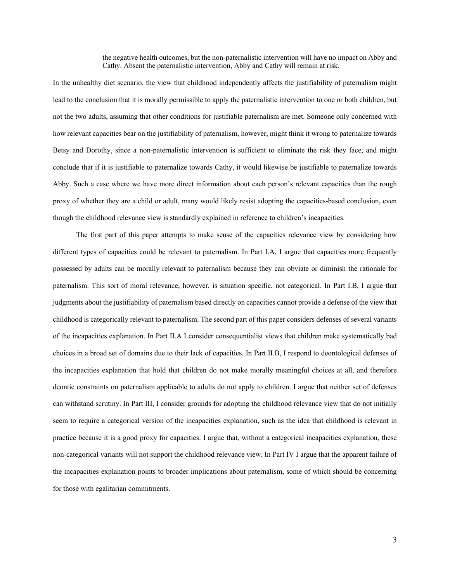the negative health outcomes, but the non-paternalistic intervention will have no impact on Abby and Cathy. Absent the paternalistic intervention, Abby and Cathy will remain at risk.

In the unhealthy diet scenario, the view that childhood independently affects the justifiability of paternalism might lead to the conclusion that it is morally permissible to apply the paternalistic intervention to one or both children, but not the two adults, assuming that other conditions for justifiable paternalism are met. Someone only concerned with how relevant capacities bear on the justifiability of paternalism, however, might think it wrong to paternalize towards Betsy and Dorothy, since a non-paternalistic intervention is sufficient to eliminate the risk they face, and might conclude that if it is justifiable to paternalize towards Cathy, it would likewise be justifiable to paternalize towards Abby. Such a case where we have more direct information about each person's relevant capacities than the rough proxy of whether they are a child or adult, many would likely resist adopting the capacities-based conclusion, even though the childhood relevance view is standardly explained in reference to children's incapacities.

The first part of this paper attempts to make sense of the capacities relevance view by considering how different types of capacities could be relevant to paternalism. In Part I.A, I argue that capacities more frequently possessed by adults can be morally relevant to paternalism because they can obviate or diminish the rationale for paternalism. This sort of moral relevance, however, is situation specific, not categorical. In Part I.B, I argue that judgments about the justifiability of paternalism based directly on capacities cannot provide a defense of the view that childhood is categorically relevant to paternalism. The second part of this paper considers defenses of several variants of the incapacities explanation. In Part II.A I consider consequentialist views that children make systematically bad choices in a broad set of domains due to their lack of capacities. In Part II.B, I respond to deontological defenses of the incapacities explanation that hold that children do not make morally meaningful choices at all, and therefore deontic constraints on paternalism applicable to adults do not apply to children. I argue that neither set of defenses can withstand scrutiny. In Part III, I consider grounds for adopting the childhood relevance view that do not initially seem to require a categorical version of the incapacities explanation, such as the idea that childhood is relevant in practice because it is a good proxy for capacities. I argue that, without a categorical incapacities explanation, these non-categorical variants will not support the childhood relevance view. In Part IV I argue that the apparent failure of the incapacities explanation points to broader implications about paternalism, some of which should be concerning for those with egalitarian commitments.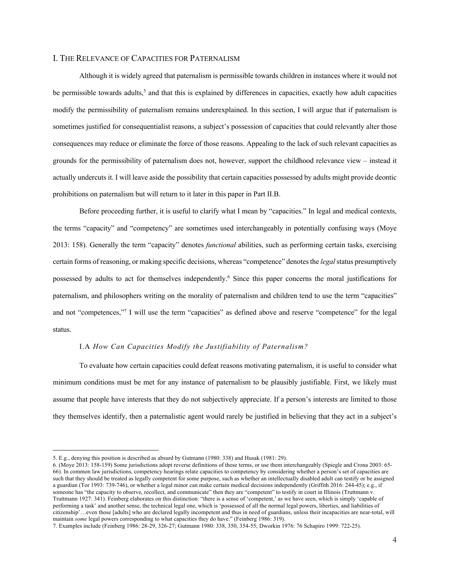## I. THE RELEVANCE OF CAPACITIES FOR PATERNALISM

Although it is widely agreed that paternalism is permissible towards children in instances where it would not be permissible towards adults,<sup>5</sup> and that this is explained by differences in capacities, exactly how adult capacities modify the permissibility of paternalism remains underexplained. In this section, I will argue that if paternalism is sometimes justified for consequentialist reasons, a subject's possession of capacities that could relevantly alter those consequences may reduce or eliminate the force of those reasons. Appealing to the lack of such relevant capacities as grounds for the permissibility of paternalism does not, however, support the childhood relevance view – instead it actually undercuts it. I will leave aside the possibility that certain capacities possessed by adults might provide deontic prohibitions on paternalism but will return to it later in this paper in Part II.B.

Before proceeding further, it is useful to clarify what I mean by "capacities." In legal and medical contexts, the terms "capacity" and "competency" are sometimes used interchangeably in potentially confusing ways (Moye 2013: 158). Generally the term "capacity" denotes *functional* abilities, such as performing certain tasks, exercising certain forms of reasoning, or making specific decisions, whereas "competence" denotesthe *legal*status presumptively possessed by adults to act for themselves independently. <sup>6</sup> Since this paper concerns the moral justifications for paternalism, and philosophers writing on the morality of paternalism and children tend to use the term "capacities" and not "competences,"<sup>7</sup> I will use the term "capacities" as defined above and reserve "competence" for the legal status.

### I.A *How Can Capacities Modify the Justifiability of Paternalism?*

To evaluate how certain capacities could defeat reasons motivating paternalism, it is useful to consider what minimum conditions must be met for any instance of paternalism to be plausibly justifiable. First, we likely must assume that people have interests that they do not subjectively appreciate. If a person's interests are limited to those they themselves identify, then a paternalistic agent would rarely be justified in believing that they act in a subject's

<sup>5.</sup> E.g., denying this position is described as absurd by Gutmann (1980: 338) and Husak (1981: 29).

<sup>6.</sup> (Moye 2013: 158-159) Some jurisdictions adopt reverse definitions of these terms, or use them interchangeably (Spiegle and Crona 2003: 65- 66). In common law jurisdictions, competency hearings relate capacities to competency by considering whether a person's set of capacities are such that they should be treated as legally competent for some purpose, such as whether an intellectually disabled adult can testify or be assigned a guardian (Tor 1993: 739-746), or whether a legal minor can make certain medical decisions independently (Griffith 2016: 244-45); e.g., if someone has "the capacity to observe, recollect, and communicate" then they are "competent" to testify in court in Illinois (Truttmann v. Truttmann 1927: 341). Feinberg elaborates on this distinction: "there is a sense of 'competent,' as we have seen, which is simply 'capable of performing a task' and another sense, the technical legal one, which is 'possessed of all the normal legal powers, liberties, and liabilities of citizenship'…even those [adults] who are declared legally incompetent and thus in need of guardians, unless their incapacities are near-total, will maintain *some* legal powers corresponding to what capacities they do have." (Feinberg 1986: 319).

<sup>7.</sup> Examples include (Feinberg 1986: 28-29, 326-27; Gutmann 1980: 338, 350, 354-55; Dworkin 1976: 76 Schapiro 1999: 722-25).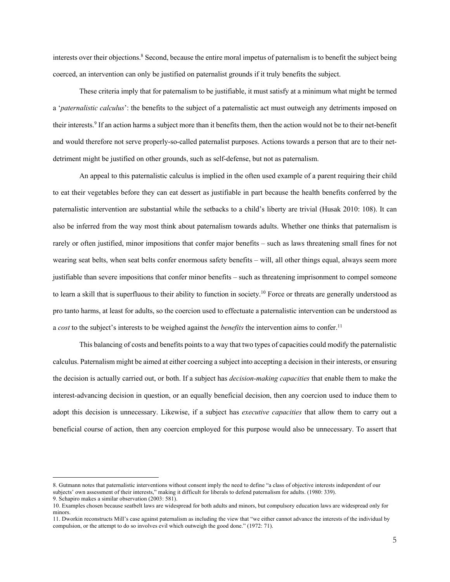interests over their objections.8 Second, because the entire moral impetus of paternalism is to benefit the subject being coerced, an intervention can only be justified on paternalist grounds if it truly benefits the subject.

These criteria imply that for paternalism to be justifiable, it must satisfy at a minimum what might be termed a '*paternalistic calculus*': the benefits to the subject of a paternalistic act must outweigh any detriments imposed on their interests.<sup>9</sup> If an action harms a subject more than it benefits them, then the action would not be to their net-benefit and would therefore not serve properly-so-called paternalist purposes. Actions towards a person that are to their netdetriment might be justified on other grounds, such as self-defense, but not as paternalism.

An appeal to this paternalistic calculus is implied in the often used example of a parent requiring their child to eat their vegetables before they can eat dessert as justifiable in part because the health benefits conferred by the paternalistic intervention are substantial while the setbacks to a child's liberty are trivial (Husak 2010: 108). It can also be inferred from the way most think about paternalism towards adults. Whether one thinks that paternalism is rarely or often justified, minor impositions that confer major benefits – such as laws threatening small fines for not wearing seat belts, when seat belts confer enormous safety benefits – will, all other things equal, always seem more justifiable than severe impositions that confer minor benefits – such as threatening imprisonment to compel someone to learn a skill that is superfluous to their ability to function in society.10 Force or threats are generally understood as pro tanto harms, at least for adults, so the coercion used to effectuate a paternalistic intervention can be understood as a *cost* to the subject's interests to be weighed against the *benefits* the intervention aims to confer.11

This balancing of costs and benefits points to a way that two types of capacities could modify the paternalistic calculus. Paternalism might be aimed at either coercing a subject into accepting a decision in their interests, or ensuring the decision is actually carried out, or both. If a subject has *decision-making capacities* that enable them to make the interest-advancing decision in question, or an equally beneficial decision, then any coercion used to induce them to adopt this decision is unnecessary. Likewise, if a subject has *executive capacities* that allow them to carry out a beneficial course of action, then any coercion employed for this purpose would also be unnecessary. To assert that

<sup>8.</sup> Gutmann notes that paternalistic interventions without consent imply the need to define "a class of objective interests independent of our subjects' own assessment of their interests," making it difficult for liberals to defend paternalism for adults. (1980: 339). 9. Schapiro makes a similar observation (2003: 581).

<sup>10.</sup> Examples chosen because seatbelt laws are widespread for both adults and minors, but compulsory education laws are widespread only for minors.

<sup>11.</sup> Dworkin reconstructs Mill's case against paternalism as including the view that "we either cannot advance the interests of the individual by compulsion, or the attempt to do so involves evil which outweigh the good done." (1972: 71).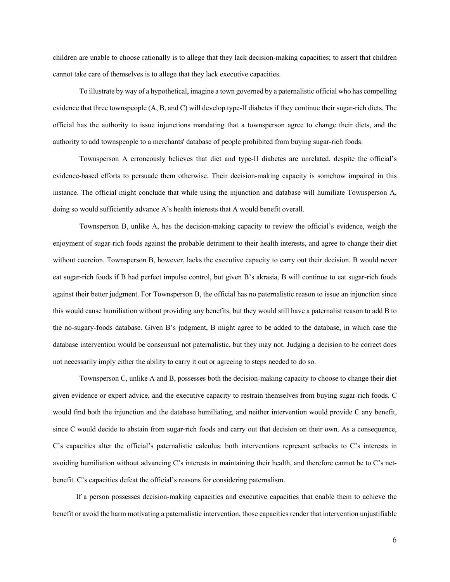children are unable to choose rationally is to allege that they lack decision-making capacities; to assert that children cannot take care of themselves is to allege that they lack executive capacities.

To illustrate by way of a hypothetical, imagine a town governed by a paternalistic official who has compelling evidence that three townspeople (A, B, and C) will develop type-II diabetes if they continue their sugar-rich diets. The official has the authority to issue injunctions mandating that a townsperson agree to change their diets, and the authority to add townspeople to a merchants' database of people prohibited from buying sugar-rich foods.

Townsperson A erroneously believes that diet and type-II diabetes are unrelated, despite the official's evidence-based efforts to persuade them otherwise. Their decision-making capacity is somehow impaired in this instance. The official might conclude that while using the injunction and database will humiliate Townsperson A, doing so would sufficiently advance A's health interests that A would benefit overall.

Townsperson B, unlike A, has the decision-making capacity to review the official's evidence, weigh the enjoyment of sugar-rich foods against the probable detriment to their health interests, and agree to change their diet without coercion. Townsperson B, however, lacks the executive capacity to carry out their decision. B would never eat sugar-rich foods if B had perfect impulse control, but given B's akrasia, B will continue to eat sugar-rich foods against their better judgment. For Townsperson B, the official has no paternalistic reason to issue an injunction since this would cause humiliation without providing any benefits, but they would still have a paternalist reason to add B to the no-sugary-foods database. Given B's judgment, B might agree to be added to the database, in which case the database intervention would be consensual not paternalistic, but they may not. Judging a decision to be correct does not necessarily imply either the ability to carry it out or agreeing to steps needed to do so.

Townsperson C, unlike A and B, possesses both the decision-making capacity to choose to change their diet given evidence or expert advice, and the executive capacity to restrain themselves from buying sugar-rich foods. C would find both the injunction and the database humiliating, and neither intervention would provide C any benefit, since C would decide to abstain from sugar-rich foods and carry out that decision on their own. As a consequence, C's capacities alter the official's paternalistic calculus: both interventions represent setbacks to C's interests in avoiding humiliation without advancing C's interests in maintaining their health, and therefore cannot be to C's netbenefit. C's capacities defeat the official's reasons for considering paternalism.

If a person possesses decision-making capacities and executive capacities that enable them to achieve the benefit or avoid the harm motivating a paternalistic intervention, those capacities render that intervention unjustifiable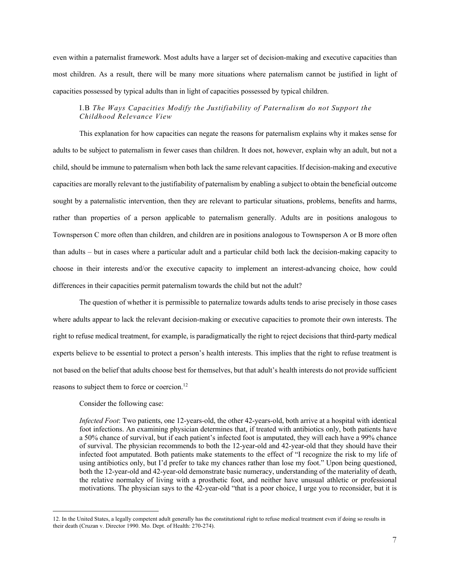even within a paternalist framework. Most adults have a larger set of decision-making and executive capacities than most children. As a result, there will be many more situations where paternalism cannot be justified in light of capacities possessed by typical adults than in light of capacities possessed by typical children.

## I.B *The Ways Capacities Modify the Justifiability of Paternalism do not Support the Childhood Relevance View*

This explanation for how capacities can negate the reasons for paternalism explains why it makes sense for adults to be subject to paternalism in fewer cases than children. It does not, however, explain why an adult, but not a child, should be immune to paternalism when both lack the same relevant capacities. If decision-making and executive capacities are morally relevant to the justifiability of paternalism by enabling a subject to obtain the beneficial outcome sought by a paternalistic intervention, then they are relevant to particular situations, problems, benefits and harms, rather than properties of a person applicable to paternalism generally. Adults are in positions analogous to Townsperson C more often than children, and children are in positions analogous to Townsperson A or B more often than adults – but in cases where a particular adult and a particular child both lack the decision-making capacity to choose in their interests and/or the executive capacity to implement an interest-advancing choice, how could differences in their capacities permit paternalism towards the child but not the adult?

The question of whether it is permissible to paternalize towards adults tends to arise precisely in those cases where adults appear to lack the relevant decision-making or executive capacities to promote their own interests. The right to refuse medical treatment, for example, is paradigmatically the right to reject decisions that third-party medical experts believe to be essential to protect a person's health interests. This implies that the right to refuse treatment is not based on the belief that adults choose best for themselves, but that adult's health interests do not provide sufficient reasons to subject them to force or coercion.12

Consider the following case:

*Infected Foot*: Two patients, one 12-years-old, the other 42-years-old, both arrive at a hospital with identical foot infections. An examining physician determines that, if treated with antibiotics only, both patients have a 50% chance of survival, but if each patient's infected foot is amputated, they will each have a 99% chance of survival. The physician recommends to both the 12-year-old and 42-year-old that they should have their infected foot amputated. Both patients make statements to the effect of "I recognize the risk to my life of using antibiotics only, but I'd prefer to take my chances rather than lose my foot." Upon being questioned, both the 12-year-old and 42-year-old demonstrate basic numeracy, understanding of the materiality of death, the relative normalcy of living with a prosthetic foot, and neither have unusual athletic or professional motivations. The physician says to the 42-year-old "that is a poor choice, I urge you to reconsider, but it is

<sup>12.</sup> In the United States, a legally competent adult generally has the constitutional right to refuse medical treatment even if doing so results in their death (Cruzan v. Director 1990. Mo. Dept. of Health: 270-274).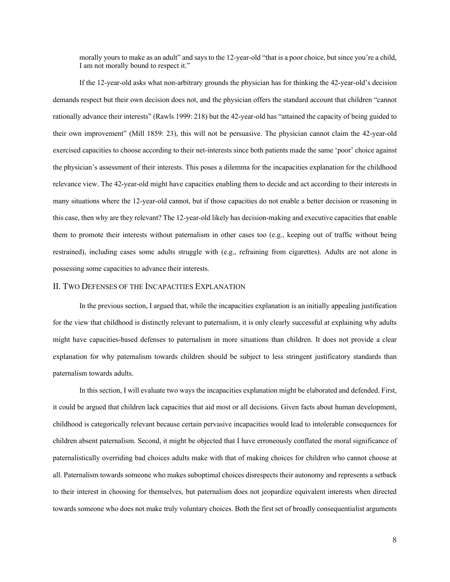morally yours to make as an adult" and says to the 12-year-old "that is a poor choice, but since you're a child, I am not morally bound to respect it."

If the 12-year-old asks what non-arbitrary grounds the physician has for thinking the 42-year-old's decision demands respect but their own decision does not, and the physician offers the standard account that children "cannot rationally advance their interests" (Rawls 1999: 218) but the 42-year-old has "attained the capacity of being guided to their own improvement" (Mill 1859: 23), this will not be persuasive. The physician cannot claim the 42-year-old exercised capacities to choose according to their net-interests since both patients made the same 'poor' choice against the physician's assessment of their interests. This poses a dilemma for the incapacities explanation for the childhood relevance view. The 42-year-old might have capacities enabling them to decide and act according to their interests in many situations where the 12-year-old cannot, but if those capacities do not enable a better decision or reasoning in this case, then why are they relevant? The 12-year-old likely has decision-making and executive capacities that enable them to promote their interests without paternalism in other cases too (e.g., keeping out of traffic without being restrained), including cases some adults struggle with (e.g., refraining from cigarettes). Adults are not alone in possessing some capacities to advance their interests.

## II. TWO DEFENSES OF THE INCAPACITIES EXPLANATION

In the previous section, I argued that, while the incapacities explanation is an initially appealing justification for the view that childhood is distinctly relevant to paternalism, it is only clearly successful at explaining why adults might have capacities-based defenses to paternalism in more situations than children. It does not provide a clear explanation for why paternalism towards children should be subject to less stringent justificatory standards than paternalism towards adults.

In this section, I will evaluate two ways the incapacities explanation might be elaborated and defended. First, it could be argued that children lack capacities that aid most or all decisions. Given facts about human development, childhood is categorically relevant because certain pervasive incapacities would lead to intolerable consequences for children absent paternalism. Second, it might be objected that I have erroneously conflated the moral significance of paternalistically overriding bad choices adults make with that of making choices for children who cannot choose at all. Paternalism towards someone who makes suboptimal choices disrespects their autonomy and represents a setback to their interest in choosing for themselves, but paternalism does not jeopardize equivalent interests when directed towards someone who does not make truly voluntary choices. Both the first set of broadly consequentialist arguments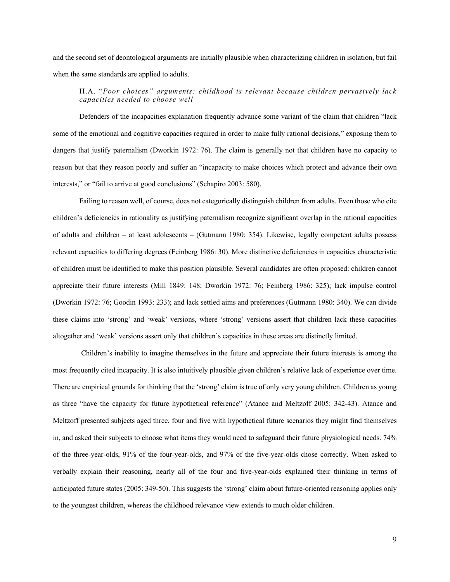and the second set of deontological arguments are initially plausible when characterizing children in isolation, but fail when the same standards are applied to adults.

## II.A. "*Poor choices" arguments: childhood is relevant because children pervasively lack capacities needed to choose well*

Defenders of the incapacities explanation frequently advance some variant of the claim that children "lack some of the emotional and cognitive capacities required in order to make fully rational decisions," exposing them to dangers that justify paternalism (Dworkin 1972: 76). The claim is generally not that children have no capacity to reason but that they reason poorly and suffer an "incapacity to make choices which protect and advance their own interests," or "fail to arrive at good conclusions" (Schapiro 2003: 580).

Failing to reason well, of course, does not categorically distinguish children from adults. Even those who cite children's deficiencies in rationality as justifying paternalism recognize significant overlap in the rational capacities of adults and children – at least adolescents – (Gutmann 1980: 354). Likewise, legally competent adults possess relevant capacities to differing degrees (Feinberg 1986: 30). More distinctive deficiencies in capacities characteristic of children must be identified to make this position plausible. Several candidates are often proposed: children cannot appreciate their future interests (Mill 1849: 148; Dworkin 1972: 76; Feinberg 1986: 325); lack impulse control (Dworkin 1972: 76; Goodin 1993: 233); and lack settled aims and preferences (Gutmann 1980: 340). We can divide these claims into 'strong' and 'weak' versions, where 'strong' versions assert that children lack these capacities altogether and 'weak' versions assert only that children's capacities in these areas are distinctly limited.

Children's inability to imagine themselves in the future and appreciate their future interests is among the most frequently cited incapacity. It is also intuitively plausible given children's relative lack of experience over time. There are empirical grounds for thinking that the 'strong' claim is true of only very young children. Children as young as three "have the capacity for future hypothetical reference" (Atance and Meltzoff 2005: 342-43). Atance and Meltzoff presented subjects aged three, four and five with hypothetical future scenarios they might find themselves in, and asked their subjects to choose what items they would need to safeguard their future physiological needs. 74% of the three-year-olds, 91% of the four-year-olds, and 97% of the five-year-olds chose correctly. When asked to verbally explain their reasoning, nearly all of the four and five-year-olds explained their thinking in terms of anticipated future states (2005: 349-50). This suggests the 'strong' claim about future-oriented reasoning applies only to the youngest children, whereas the childhood relevance view extends to much older children.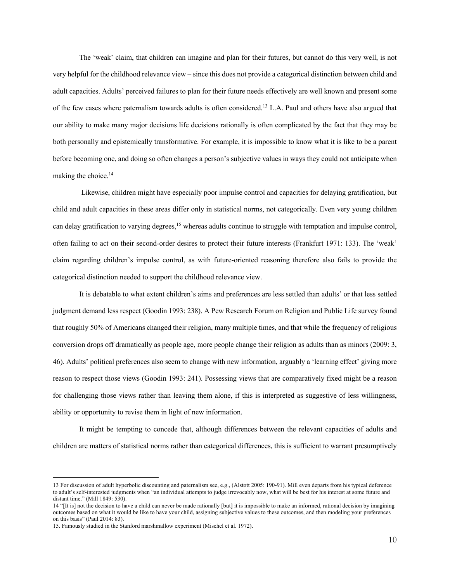The 'weak' claim, that children can imagine and plan for their futures, but cannot do this very well, is not very helpful for the childhood relevance view – since this does not provide a categorical distinction between child and adult capacities. Adults' perceived failures to plan for their future needs effectively are well known and present some of the few cases where paternalism towards adults is often considered.13 L.A. Paul and others have also argued that our ability to make many major decisions life decisions rationally is often complicated by the fact that they may be both personally and epistemically transformative. For example, it is impossible to know what it is like to be a parent before becoming one, and doing so often changes a person's subjective values in ways they could not anticipate when making the choice.<sup>14</sup>

Likewise, children might have especially poor impulse control and capacities for delaying gratification, but child and adult capacities in these areas differ only in statistical norms, not categorically. Even very young children can delay gratification to varying degrees,<sup>15</sup> whereas adults continue to struggle with temptation and impulse control, often failing to act on their second-order desires to protect their future interests (Frankfurt 1971: 133). The 'weak' claim regarding children's impulse control, as with future-oriented reasoning therefore also fails to provide the categorical distinction needed to support the childhood relevance view.

It is debatable to what extent children's aims and preferences are less settled than adults' or that less settled judgment demand less respect (Goodin 1993: 238). A Pew Research Forum on Religion and Public Life survey found that roughly 50% of Americans changed their religion, many multiple times, and that while the frequency of religious conversion drops off dramatically as people age, more people change their religion as adults than as minors (2009: 3, 46). Adults' political preferences also seem to change with new information, arguably a 'learning effect' giving more reason to respect those views (Goodin 1993: 241). Possessing views that are comparatively fixed might be a reason for challenging those views rather than leaving them alone, if this is interpreted as suggestive of less willingness, ability or opportunity to revise them in light of new information.

It might be tempting to concede that, although differences between the relevant capacities of adults and children are matters of statistical norms rather than categorical differences, this is sufficient to warrant presumptively

<sup>13</sup> For discussion of adult hyperbolic discounting and paternalism see, e.g., (Alstott 2005: 190-91). Mill even departs from his typical deference to adult's self-interested judgments when "an individual attempts to judge irrevocably now, what will be best for his interest at some future and distant time." (Mill 1849: 530).

<sup>14</sup> "[It is] not the decision to have a child can never be made rationally [but] it is impossible to make an informed, rational decision by imagining outcomes based on what it would be like to have your child, assigning subjective values to these outcomes, and then modeling your preferences on this basis" (Paul 2014: 83).

<sup>15.</sup> Famously studied in the Stanford marshmallow experiment (Mischel et al. 1972).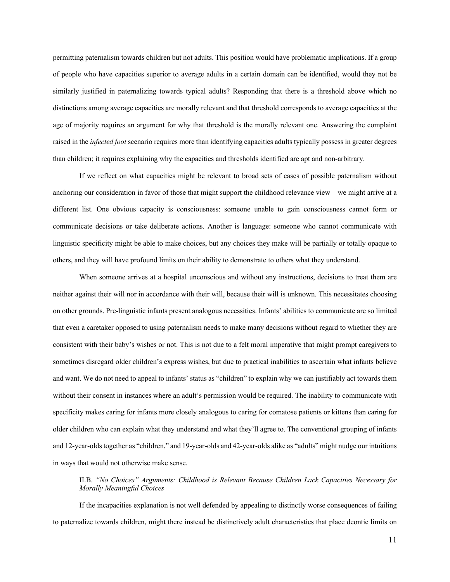permitting paternalism towards children but not adults. This position would have problematic implications. If a group of people who have capacities superior to average adults in a certain domain can be identified, would they not be similarly justified in paternalizing towards typical adults? Responding that there is a threshold above which no distinctions among average capacities are morally relevant and that threshold corresponds to average capacities at the age of majority requires an argument for why that threshold is the morally relevant one. Answering the complaint raised in the *infected foot* scenario requires more than identifying capacities adults typically possess in greater degrees than children; it requires explaining why the capacities and thresholds identified are apt and non-arbitrary.

If we reflect on what capacities might be relevant to broad sets of cases of possible paternalism without anchoring our consideration in favor of those that might support the childhood relevance view – we might arrive at a different list. One obvious capacity is consciousness: someone unable to gain consciousness cannot form or communicate decisions or take deliberate actions. Another is language: someone who cannot communicate with linguistic specificity might be able to make choices, but any choices they make will be partially or totally opaque to others, and they will have profound limits on their ability to demonstrate to others what they understand.

When someone arrives at a hospital unconscious and without any instructions, decisions to treat them are neither against their will nor in accordance with their will, because their will is unknown. This necessitates choosing on other grounds. Pre-linguistic infants present analogous necessities. Infants' abilities to communicate are so limited that even a caretaker opposed to using paternalism needs to make many decisions without regard to whether they are consistent with their baby's wishes or not. This is not due to a felt moral imperative that might prompt caregivers to sometimes disregard older children's express wishes, but due to practical inabilities to ascertain what infants believe and want. We do not need to appeal to infants' status as "children" to explain why we can justifiably act towards them without their consent in instances where an adult's permission would be required. The inability to communicate with specificity makes caring for infants more closely analogous to caring for comatose patients or kittens than caring for older children who can explain what they understand and what they'll agree to. The conventional grouping of infants and 12-year-olds together as "children," and 19-year-olds and 42-year-olds alike as "adults" might nudge our intuitions in ways that would not otherwise make sense.

## II.B. *"No Choices" Arguments: Childhood is Relevant Because Children Lack Capacities Necessary for Morally Meaningful Choices*

If the incapacities explanation is not well defended by appealing to distinctly worse consequences of failing to paternalize towards children, might there instead be distinctively adult characteristics that place deontic limits on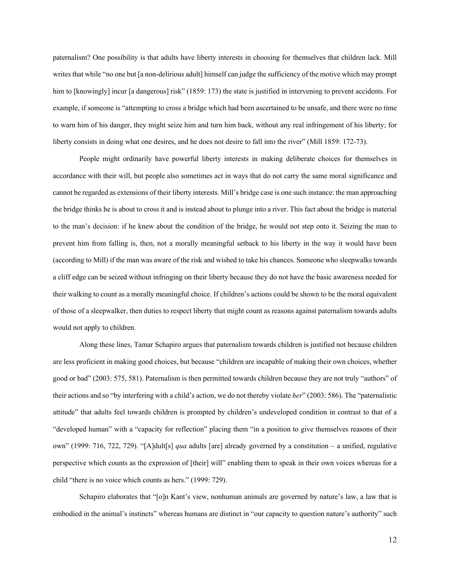paternalism? One possibility is that adults have liberty interests in choosing for themselves that children lack. Mill writes that while "no one but [a non-delirious adult] himself can judge the sufficiency of the motive which may prompt him to [knowingly] incur [a dangerous] risk" (1859: 173) the state is justified in intervening to prevent accidents. For example, if someone is "attempting to cross a bridge which had been ascertained to be unsafe, and there were no time to warn him of his danger, they might seize him and turn him back, without any real infringement of his liberty; for liberty consists in doing what one desires, and he does not desire to fall into the river" (Mill 1859: 172-73).

People might ordinarily have powerful liberty interests in making deliberate choices for themselves in accordance with their will, but people also sometimes act in ways that do not carry the same moral significance and cannot be regarded as extensions of their liberty interests. Mill's bridge case is one such instance: the man approaching the bridge thinks he is about to cross it and is instead about to plunge into a river. This fact about the bridge is material to the man's decision: if he knew about the condition of the bridge, he would not step onto it. Seizing the man to prevent him from falling is, then, not a morally meaningful setback to his liberty in the way it would have been (according to Mill) if the man was aware of the risk and wished to take his chances. Someone who sleepwalks towards a cliff edge can be seized without infringing on their liberty because they do not have the basic awareness needed for their walking to count as a morally meaningful choice. If children's actions could be shown to be the moral equivalent of those of a sleepwalker, then duties to respect liberty that might count as reasons against paternalism towards adults would not apply to children.

Along these lines, Tamar Schapiro argues that paternalism towards children is justified not because children are less proficient in making good choices, but because "children are incapable of making their own choices, whether good or bad" (2003: 575, 581). Paternalism is then permitted towards children because they are not truly "authors" of their actions and so "by interfering with a child's action, we do not thereby violate *her*" (2003: 586). The "paternalistic attitude" that adults feel towards children is prompted by children's undeveloped condition in contrast to that of a "developed human" with a "capacity for reflection" placing them "in a position to give themselves reasons of their own" (1999: 716, 722, 729). "[A]dult[s] *qua* adults [are] already governed by a constitution – a unified, regulative perspective which counts as the expression of [their] will" enabling them to speak in their own voices whereas for a child "there is no voice which counts as hers." (1999: 729).

Schapiro elaborates that "[o]n Kant's view, nonhuman animals are governed by nature's law, a law that is embodied in the animal's instincts" whereas humans are distinct in "our capacity to question nature's authority" such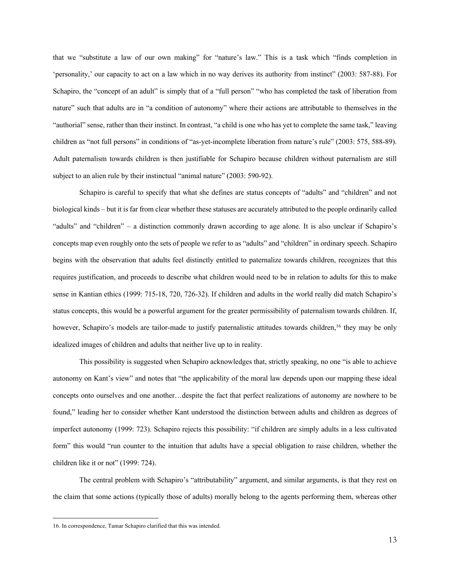that we "substitute a law of our own making" for "nature's law." This is a task which "finds completion in 'personality,' our capacity to act on a law which in no way derives its authority from instinct" (2003: 587-88). For Schapiro, the "concept of an adult" is simply that of a "full person" "who has completed the task of liberation from nature" such that adults are in "a condition of autonomy" where their actions are attributable to themselves in the "authorial" sense, rather than their instinct. In contrast, "a child is one who has yet to complete the same task," leaving children as "not full persons" in conditions of "as-yet-incomplete liberation from nature's rule" (2003: 575, 588-89). Adult paternalism towards children is then justifiable for Schapiro because children without paternalism are still subject to an alien rule by their instinctual "animal nature" (2003: 590-92).

Schapiro is careful to specify that what she defines are status concepts of "adults" and "children" and not biological kinds – but it is far from clear whether these statuses are accurately attributed to the people ordinarily called "adults" and "children" – a distinction commonly drawn according to age alone. It is also unclear if Schapiro's concepts map even roughly onto the sets of people we refer to as "adults" and "children" in ordinary speech. Schapiro begins with the observation that adults feel distinctly entitled to paternalize towards children, recognizes that this requires justification, and proceeds to describe what children would need to be in relation to adults for this to make sense in Kantian ethics (1999: 715-18, 720, 726-32). If children and adults in the world really did match Schapiro's status concepts, this would be a powerful argument for the greater permissibility of paternalism towards children. If, however, Schapiro's models are tailor-made to justify paternalistic attitudes towards children,<sup>16</sup> they may be only idealized images of children and adults that neither live up to in reality.

This possibility is suggested when Schapiro acknowledges that, strictly speaking, no one "is able to achieve autonomy on Kant's view" and notes that "the applicability of the moral law depends upon our mapping these ideal concepts onto ourselves and one another…despite the fact that perfect realizations of autonomy are nowhere to be found," leading her to consider whether Kant understood the distinction between adults and children as degrees of imperfect autonomy (1999: 723). Schapiro rejects this possibility: "if children are simply adults in a less cultivated form" this would "run counter to the intuition that adults have a special obligation to raise children, whether the children like it or not" (1999: 724).

The central problem with Schapiro's "attributability" argument, and similar arguments, is that they rest on the claim that some actions (typically those of adults) morally belong to the agents performing them, whereas other

<sup>16.</sup> In correspondence, Tamar Schapiro clarified that this was intended.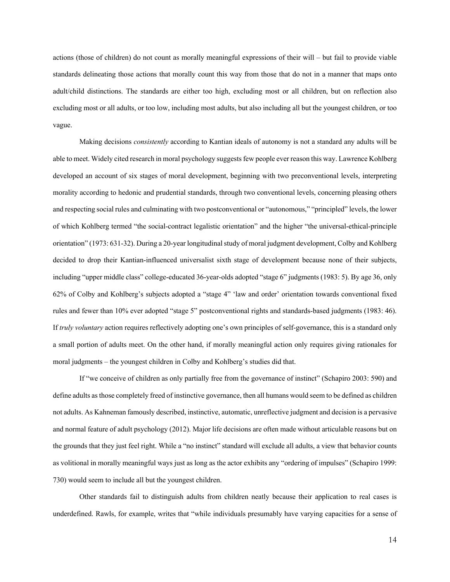actions (those of children) do not count as morally meaningful expressions of their will – but fail to provide viable standards delineating those actions that morally count this way from those that do not in a manner that maps onto adult/child distinctions. The standards are either too high, excluding most or all children, but on reflection also excluding most or all adults, or too low, including most adults, but also including all but the youngest children, or too vague.

Making decisions *consistently* according to Kantian ideals of autonomy is not a standard any adults will be able to meet. Widely cited research in moral psychology suggests few people ever reason this way. Lawrence Kohlberg developed an account of six stages of moral development, beginning with two preconventional levels, interpreting morality according to hedonic and prudential standards, through two conventional levels, concerning pleasing others and respecting social rules and culminating with two postconventional or "autonomous," "principled" levels, the lower of which Kohlberg termed "the social-contract legalistic orientation" and the higher "the universal-ethical-principle orientation" (1973: 631-32). During a 20-year longitudinal study of moral judgment development, Colby and Kohlberg decided to drop their Kantian-influenced universalist sixth stage of development because none of their subjects, including "upper middle class" college-educated 36-year-olds adopted "stage 6" judgments (1983: 5). By age 36, only 62% of Colby and Kohlberg's subjects adopted a "stage 4" 'law and order' orientation towards conventional fixed rules and fewer than 10% ever adopted "stage 5" postconventional rights and standards-based judgments (1983: 46). If *truly voluntary* action requires reflectively adopting one's own principles of self-governance, this is a standard only a small portion of adults meet. On the other hand, if morally meaningful action only requires giving rationales for moral judgments – the youngest children in Colby and Kohlberg's studies did that.

If "we conceive of children as only partially free from the governance of instinct" (Schapiro 2003: 590) and define adults asthose completely freed of instinctive governance, then all humans would seem to be defined as children not adults. As Kahneman famously described, instinctive, automatic, unreflective judgment and decision is a pervasive and normal feature of adult psychology (2012). Major life decisions are often made without articulable reasons but on the grounds that they just feel right. While a "no instinct" standard will exclude all adults, a view that behavior counts as volitional in morally meaningful ways just as long as the actor exhibits any "ordering of impulses" (Schapiro 1999: 730) would seem to include all but the youngest children.

Other standards fail to distinguish adults from children neatly because their application to real cases is underdefined. Rawls, for example, writes that "while individuals presumably have varying capacities for a sense of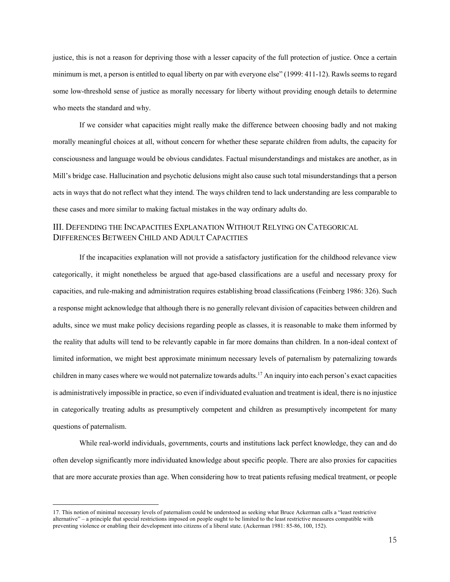justice, this is not a reason for depriving those with a lesser capacity of the full protection of justice. Once a certain minimum is met, a person is entitled to equal liberty on par with everyone else" (1999: 411-12). Rawls seems to regard some low-threshold sense of justice as morally necessary for liberty without providing enough details to determine who meets the standard and why.

If we consider what capacities might really make the difference between choosing badly and not making morally meaningful choices at all, without concern for whether these separate children from adults, the capacity for consciousness and language would be obvious candidates. Factual misunderstandings and mistakes are another, as in Mill's bridge case. Hallucination and psychotic delusions might also cause such total misunderstandings that a person acts in ways that do not reflect what they intend. The ways children tend to lack understanding are less comparable to these cases and more similar to making factual mistakes in the way ordinary adults do.

# III. DEFENDING THE INCAPACITIES EXPLANATION WITHOUT RELYING ON CATEGORICAL DIFFERENCES BETWEEN CHILD AND ADULT CAPACITIES

If the incapacities explanation will not provide a satisfactory justification for the childhood relevance view categorically, it might nonetheless be argued that age-based classifications are a useful and necessary proxy for capacities, and rule-making and administration requires establishing broad classifications (Feinberg 1986: 326). Such a response might acknowledge that although there is no generally relevant division of capacities between children and adults, since we must make policy decisions regarding people as classes, it is reasonable to make them informed by the reality that adults will tend to be relevantly capable in far more domains than children. In a non-ideal context of limited information, we might best approximate minimum necessary levels of paternalism by paternalizing towards children in many cases where we would not paternalize towards adults.<sup>17</sup> An inquiry into each person's exact capacities is administratively impossible in practice, so even if individuated evaluation and treatment is ideal, there is no injustice in categorically treating adults as presumptively competent and children as presumptively incompetent for many questions of paternalism.

While real-world individuals, governments, courts and institutions lack perfect knowledge, they can and do often develop significantly more individuated knowledge about specific people. There are also proxies for capacities that are more accurate proxies than age. When considering how to treat patients refusing medical treatment, or people

<sup>17.</sup> This notion of minimal necessary levels of paternalism could be understood as seeking what Bruce Ackerman calls a "least restrictive alternative" – a principle that special restrictions imposed on people ought to be limited to the least restrictive measures compatible with preventing violence or enabling their development into citizens of a liberal state. (Ackerman 1981: 85-86, 100, 152).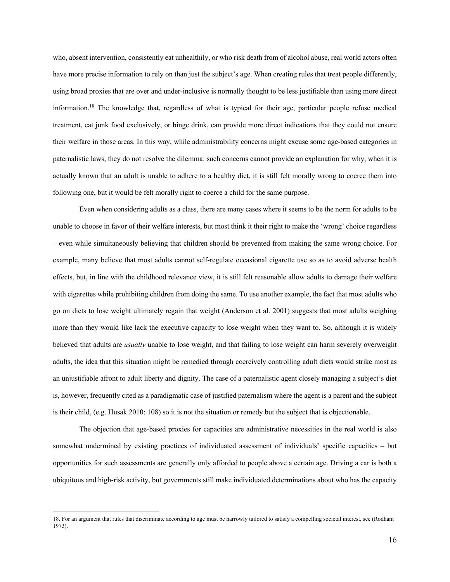who, absent intervention, consistently eat unhealthily, or who risk death from of alcohol abuse, real world actors often have more precise information to rely on than just the subject's age. When creating rules that treat people differently, using broad proxies that are over and under-inclusive is normally thought to be less justifiable than using more direct information.18 The knowledge that, regardless of what is typical for their age, particular people refuse medical treatment, eat junk food exclusively, or binge drink, can provide more direct indications that they could not ensure their welfare in those areas. In this way, while administrability concerns might excuse some age-based categories in paternalistic laws, they do not resolve the dilemma: such concerns cannot provide an explanation for why, when it is actually known that an adult is unable to adhere to a healthy diet, it is still felt morally wrong to coerce them into following one, but it would be felt morally right to coerce a child for the same purpose.

Even when considering adults as a class, there are many cases where it seems to be the norm for adults to be unable to choose in favor of their welfare interests, but most think it their right to make the 'wrong' choice regardless – even while simultaneously believing that children should be prevented from making the same wrong choice. For example, many believe that most adults cannot self-regulate occasional cigarette use so as to avoid adverse health effects, but, in line with the childhood relevance view, it is still felt reasonable allow adults to damage their welfare with cigarettes while prohibiting children from doing the same. To use another example, the fact that most adults who go on diets to lose weight ultimately regain that weight (Anderson et al. 2001) suggests that most adults weighing more than they would like lack the executive capacity to lose weight when they want to. So, although it is widely believed that adults are *usually* unable to lose weight, and that failing to lose weight can harm severely overweight adults, the idea that this situation might be remedied through coercively controlling adult diets would strike most as an unjustifiable afront to adult liberty and dignity. The case of a paternalistic agent closely managing a subject's diet is, however, frequently cited as a paradigmatic case of justified paternalism where the agent is a parent and the subject is their child, (e.g. Husak 2010: 108) so it is not the situation or remedy but the subject that is objectionable.

The objection that age-based proxies for capacities are administrative necessities in the real world is also somewhat undermined by existing practices of individuated assessment of individuals' specific capacities – but opportunities for such assessments are generally only afforded to people above a certain age. Driving a car is both a ubiquitous and high-risk activity, but governments still make individuated determinations about who has the capacity

<sup>18.</sup> For an argument that rules that discriminate according to age must be narrowly tailored to satisfy a compelling societal interest, see (Rodham 1973).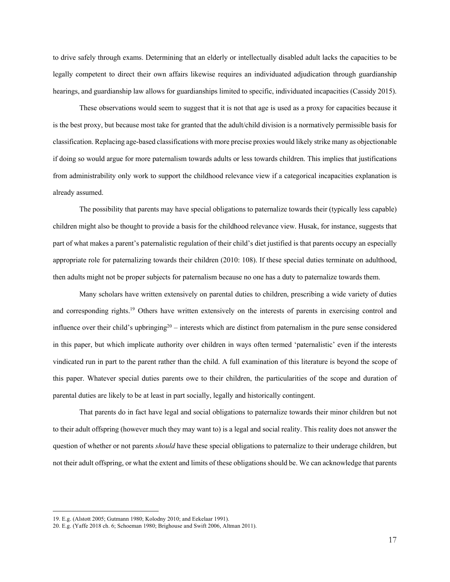to drive safely through exams. Determining that an elderly or intellectually disabled adult lacks the capacities to be legally competent to direct their own affairs likewise requires an individuated adjudication through guardianship hearings, and guardianship law allows for guardianships limited to specific, individuated incapacities (Cassidy 2015).

These observations would seem to suggest that it is not that age is used as a proxy for capacities because it is the best proxy, but because most take for granted that the adult/child division is a normatively permissible basis for classification. Replacing age-based classifications with more precise proxies would likely strike many as objectionable if doing so would argue for more paternalism towards adults or less towards children. This implies that justifications from administrability only work to support the childhood relevance view if a categorical incapacities explanation is already assumed.

The possibility that parents may have special obligations to paternalize towards their (typically less capable) children might also be thought to provide a basis for the childhood relevance view. Husak, for instance, suggests that part of what makes a parent's paternalistic regulation of their child's diet justified is that parents occupy an especially appropriate role for paternalizing towards their children (2010: 108). If these special duties terminate on adulthood, then adults might not be proper subjects for paternalism because no one has a duty to paternalize towards them.

Many scholars have written extensively on parental duties to children, prescribing a wide variety of duties and corresponding rights.<sup>19</sup> Others have written extensively on the interests of parents in exercising control and influence over their child's upbringing<sup>20</sup> – interests which are distinct from paternalism in the pure sense considered in this paper, but which implicate authority over children in ways often termed 'paternalistic' even if the interests vindicated run in part to the parent rather than the child. A full examination of this literature is beyond the scope of this paper. Whatever special duties parents owe to their children, the particularities of the scope and duration of parental duties are likely to be at least in part socially, legally and historically contingent.

That parents do in fact have legal and social obligations to paternalize towards their minor children but not to their adult offspring (however much they may want to) is a legal and social reality. This reality does not answer the question of whether or not parents *should* have these special obligations to paternalize to their underage children, but not their adult offspring, or what the extent and limits of these obligations should be. We can acknowledge that parents

<sup>19.</sup> E.g. (Alstott 2005; Gutmann 1980; Kolodny 2010; and Eekelaar 1991).

<sup>20.</sup> E.g. (Yaffe 2018 ch. 6; Schoeman 1980; Brighouse and Swift 2006, Altman 2011).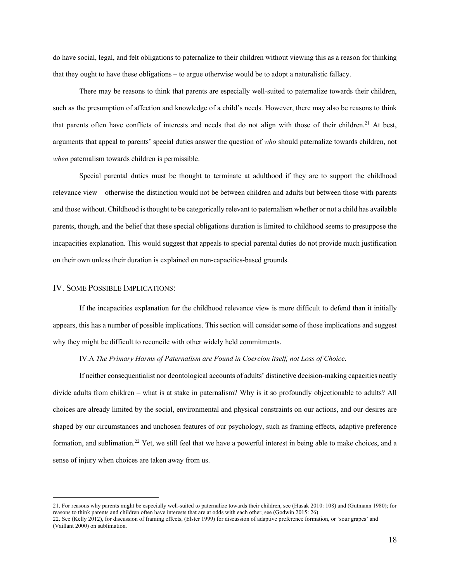do have social, legal, and felt obligations to paternalize to their children without viewing this as a reason for thinking that they ought to have these obligations – to argue otherwise would be to adopt a naturalistic fallacy.

There may be reasons to think that parents are especially well-suited to paternalize towards their children, such as the presumption of affection and knowledge of a child's needs. However, there may also be reasons to think that parents often have conflicts of interests and needs that do not align with those of their children.<sup>21</sup> At best, arguments that appeal to parents' special duties answer the question of *who* should paternalize towards children, not *when* paternalism towards children is permissible.

Special parental duties must be thought to terminate at adulthood if they are to support the childhood relevance view – otherwise the distinction would not be between children and adults but between those with parents and those without. Childhood is thought to be categorically relevant to paternalism whether or not a child has available parents, though, and the belief that these special obligations duration is limited to childhood seems to presuppose the incapacities explanation. This would suggest that appeals to special parental duties do not provide much justification on their own unless their duration is explained on non-capacities-based grounds.

## IV. SOME POSSIBLE IMPLICATIONS:

If the incapacities explanation for the childhood relevance view is more difficult to defend than it initially appears, this has a number of possible implications. This section will consider some of those implications and suggest why they might be difficult to reconcile with other widely held commitments.

### IV.A *The Primary Harms of Paternalism are Found in Coercion itself, not Loss of Choice*.

If neither consequentialist nor deontological accounts of adults' distinctive decision-making capacities neatly divide adults from children – what is at stake in paternalism? Why is it so profoundly objectionable to adults? All choices are already limited by the social, environmental and physical constraints on our actions, and our desires are shaped by our circumstances and unchosen features of our psychology, such as framing effects, adaptive preference formation, and sublimation.22 Yet, we still feel that we have a powerful interest in being able to make choices, and a sense of injury when choices are taken away from us.

<sup>21.</sup> For reasons why parents might be especially well-suited to paternalize towards their children, see (Husak 2010: 108) and (Gutmann 1980); for reasons to think parents and children often have interests that are at odds with each other, see (Godwin 2015: 26).

<sup>22.</sup> See (Kelly 2012), for discussion of framing effects, (Elster 1999) for discussion of adaptive preference formation, or 'sour grapes' and (Vaillant 2000) on sublimation.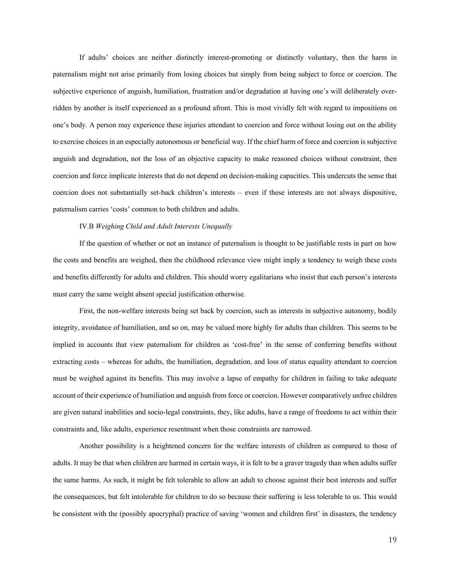If adults' choices are neither distinctly interest-promoting or distinctly voluntary, then the harm in paternalism might not arise primarily from losing choices but simply from being subject to force or coercion. The subjective experience of anguish, humiliation, frustration and/or degradation at having one's will deliberately overridden by another is itself experienced as a profound afront. This is most vividly felt with regard to impositions on one's body. A person may experience these injuries attendant to coercion and force without losing out on the ability to exercise choices in an especially autonomous or beneficial way. If the chief harm of force and coercion is subjective anguish and degradation, not the loss of an objective capacity to make reasoned choices without constraint, then coercion and force implicate interests that do not depend on decision-making capacities. This undercuts the sense that coercion does not substantially set-back children's interests – even if these interests are not always dispositive, paternalism carries 'costs' common to both children and adults.

### IV.B *Weighing Child and Adult Interests Unequally*

If the question of whether or not an instance of paternalism is thought to be justifiable rests in part on how the costs and benefits are weighed, then the childhood relevance view might imply a tendency to weigh these costs and benefits differently for adults and children. This should worry egalitarians who insist that each person's interests must carry the same weight absent special justification otherwise.

First, the non-welfare interests being set back by coercion, such as interests in subjective autonomy, bodily integrity, avoidance of humiliation, and so on, may be valued more highly for adults than children. This seems to be implied in accounts that view paternalism for children as 'cost-free' in the sense of conferring benefits without extracting costs – whereas for adults, the humiliation, degradation, and loss of status equality attendant to coercion must be weighed against its benefits. This may involve a lapse of empathy for children in failing to take adequate account of their experience of humiliation and anguish from force or coercion. However comparatively unfree children are given natural inabilities and socio-legal constraints, they, like adults, have a range of freedoms to act within their constraints and, like adults, experience resentment when those constraints are narrowed.

Another possibility is a heightened concern for the welfare interests of children as compared to those of adults. It may be that when children are harmed in certain ways, it is felt to be a graver tragedy than when adults suffer the same harms. As such, it might be felt tolerable to allow an adult to choose against their best interests and suffer the consequences, but felt intolerable for children to do so because their suffering is less tolerable to us. This would be consistent with the (possibly apocryphal) practice of saving 'women and children first' in disasters, the tendency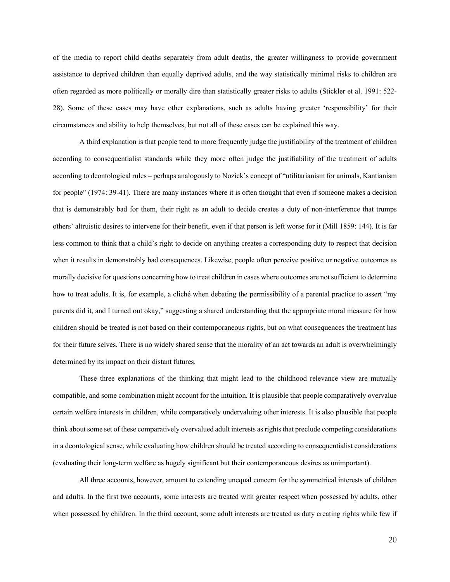of the media to report child deaths separately from adult deaths, the greater willingness to provide government assistance to deprived children than equally deprived adults, and the way statistically minimal risks to children are often regarded as more politically or morally dire than statistically greater risks to adults (Stickler et al. 1991: 522- 28). Some of these cases may have other explanations, such as adults having greater 'responsibility' for their circumstances and ability to help themselves, but not all of these cases can be explained this way.

A third explanation is that people tend to more frequently judge the justifiability of the treatment of children according to consequentialist standards while they more often judge the justifiability of the treatment of adults according to deontological rules – perhaps analogously to Nozick's concept of "utilitarianism for animals, Kantianism for people" (1974: 39-41). There are many instances where it is often thought that even if someone makes a decision that is demonstrably bad for them, their right as an adult to decide creates a duty of non-interference that trumps others' altruistic desires to intervene for their benefit, even if that person is left worse for it (Mill 1859: 144). It is far less common to think that a child's right to decide on anything creates a corresponding duty to respect that decision when it results in demonstrably bad consequences. Likewise, people often perceive positive or negative outcomes as morally decisive for questions concerning how to treat children in cases where outcomes are not sufficient to determine how to treat adults. It is, for example, a cliché when debating the permissibility of a parental practice to assert "my parents did it, and I turned out okay," suggesting a shared understanding that the appropriate moral measure for how children should be treated is not based on their contemporaneous rights, but on what consequences the treatment has for their future selves. There is no widely shared sense that the morality of an act towards an adult is overwhelmingly determined by its impact on their distant futures.

These three explanations of the thinking that might lead to the childhood relevance view are mutually compatible, and some combination might account for the intuition. It is plausible that people comparatively overvalue certain welfare interests in children, while comparatively undervaluing other interests. It is also plausible that people think about some set of these comparatively overvalued adult interests as rights that preclude competing considerations in a deontological sense, while evaluating how children should be treated according to consequentialist considerations (evaluating their long-term welfare as hugely significant but their contemporaneous desires as unimportant).

All three accounts, however, amount to extending unequal concern for the symmetrical interests of children and adults. In the first two accounts, some interests are treated with greater respect when possessed by adults, other when possessed by children. In the third account, some adult interests are treated as duty creating rights while few if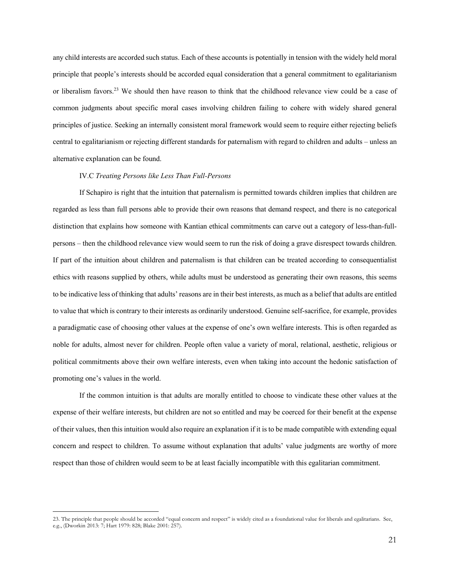any child interests are accorded such status. Each of these accounts is potentially in tension with the widely held moral principle that people's interests should be accorded equal consideration that a general commitment to egalitarianism or liberalism favors.<sup>23</sup> We should then have reason to think that the childhood relevance view could be a case of common judgments about specific moral cases involving children failing to cohere with widely shared general principles of justice. Seeking an internally consistent moral framework would seem to require either rejecting beliefs central to egalitarianism or rejecting different standards for paternalism with regard to children and adults – unless an alternative explanation can be found.

### IV.C *Treating Persons like Less Than Full-Persons*

If Schapiro is right that the intuition that paternalism is permitted towards children implies that children are regarded as less than full persons able to provide their own reasons that demand respect, and there is no categorical distinction that explains how someone with Kantian ethical commitments can carve out a category of less-than-fullpersons – then the childhood relevance view would seem to run the risk of doing a grave disrespect towards children. If part of the intuition about children and paternalism is that children can be treated according to consequentialist ethics with reasons supplied by others, while adults must be understood as generating their own reasons, this seems to be indicative less of thinking that adults' reasons are in their best interests, as much as a belief that adults are entitled to value that which is contrary to their interests as ordinarily understood. Genuine self-sacrifice, for example, provides a paradigmatic case of choosing other values at the expense of one's own welfare interests. This is often regarded as noble for adults, almost never for children. People often value a variety of moral, relational, aesthetic, religious or political commitments above their own welfare interests, even when taking into account the hedonic satisfaction of promoting one's values in the world.

If the common intuition is that adults are morally entitled to choose to vindicate these other values at the expense of their welfare interests, but children are not so entitled and may be coerced for their benefit at the expense of their values, then this intuition would also require an explanation if it is to be made compatible with extending equal concern and respect to children. To assume without explanation that adults' value judgments are worthy of more respect than those of children would seem to be at least facially incompatible with this egalitarian commitment.

<sup>23.</sup> The principle that people should be accorded "equal concern and respect" is widely cited as a foundational value for liberals and egalitarians. See, e.g., (Dworkin 2013: 7; Hart 1979: 828; Blake 2001: 257).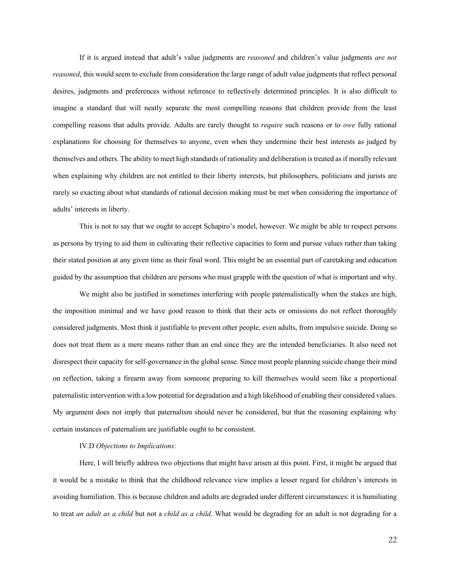If it is argued instead that adult's value judgments are *reasoned* and children's value judgments *are not reasoned*, this would seem to exclude from consideration the large range of adult value judgments that reflect personal desires, judgments and preferences without reference to reflectively determined principles. It is also difficult to imagine a standard that will neatly separate the most compelling reasons that children provide from the least compelling reasons that adults provide. Adults are rarely thought to *require* such reasons or to *owe* fully rational explanations for choosing for themselves to anyone, even when they undermine their best interests as judged by themselves and others. The ability to meet high standards of rationality and deliberation istreated asif morally relevant when explaining why children are not entitled to their liberty interests, but philosophers, politicians and jurists are rarely so exacting about what standards of rational decision making must be met when considering the importance of adults' interests in liberty.

This is not to say that we ought to accept Schapiro's model, however. We might be able to respect persons as persons by trying to aid them in cultivating their reflective capacities to form and pursue values rather than taking their stated position at any given time as their final word. This might be an essential part of caretaking and education guided by the assumption that children are persons who must grapple with the question of what is important and why.

We might also be justified in sometimes interfering with people paternalistically when the stakes are high, the imposition minimal and we have good reason to think that their acts or omissions do not reflect thoroughly considered judgments. Most think it justifiable to prevent other people, even adults, from impulsive suicide. Doing so does not treat them as a mere means rather than an end since they are the intended beneficiaries. It also need not disrespect their capacity for self-governance in the global sense. Since most people planning suicide change their mind on reflection, taking a firearm away from someone preparing to kill themselves would seem like a proportional paternalistic intervention with a low potential for degradation and a high likelihood of enabling their considered values. My argument does not imply that paternalism should never be considered, but that the reasoning explaining why certain instances of paternalism are justifiable ought to be consistent.

### IV.D *Objections to Implications:*

Here, I will briefly address two objections that might have arisen at this point. First, it might be argued that it would be a mistake to think that the childhood relevance view implies a lesser regard for children's interests in avoiding humiliation. This is because children and adults are degraded under different circumstances: it is humiliating to treat *an adult as a child* but not a *child as a child*. What would be degrading for an adult is not degrading for a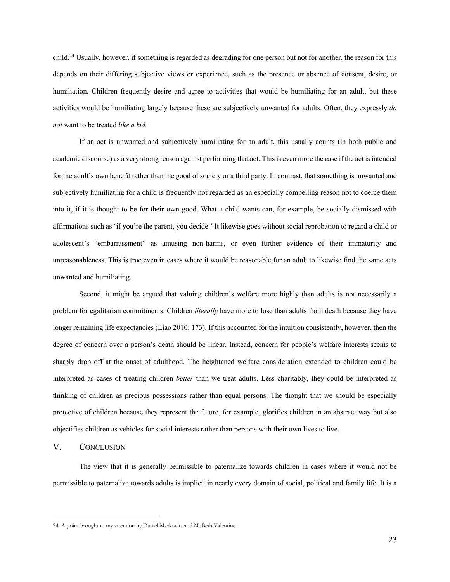child.<sup>24</sup> Usually, however, if something is regarded as degrading for one person but not for another, the reason for this depends on their differing subjective views or experience, such as the presence or absence of consent, desire, or humiliation. Children frequently desire and agree to activities that would be humiliating for an adult, but these activities would be humiliating largely because these are subjectively unwanted for adults. Often, they expressly *do not* want to be treated *like a kid.*

If an act is unwanted and subjectively humiliating for an adult, this usually counts (in both public and academic discourse) as a very strong reason against performing that act. This is even more the case if the act is intended for the adult's own benefit rather than the good of society or a third party. In contrast, that something is unwanted and subjectively humiliating for a child is frequently not regarded as an especially compelling reason not to coerce them into it, if it is thought to be for their own good. What a child wants can, for example, be socially dismissed with affirmations such as 'if you're the parent, you decide.' It likewise goes without social reprobation to regard a child or adolescent's "embarrassment" as amusing non-harms, or even further evidence of their immaturity and unreasonableness. This is true even in cases where it would be reasonable for an adult to likewise find the same acts unwanted and humiliating.

Second, it might be argued that valuing children's welfare more highly than adults is not necessarily a problem for egalitarian commitments. Children *literally* have more to lose than adults from death because they have longer remaining life expectancies (Liao 2010: 173). If this accounted for the intuition consistently, however, then the degree of concern over a person's death should be linear. Instead, concern for people's welfare interests seems to sharply drop off at the onset of adulthood. The heightened welfare consideration extended to children could be interpreted as cases of treating children *better* than we treat adults. Less charitably, they could be interpreted as thinking of children as precious possessions rather than equal persons. The thought that we should be especially protective of children because they represent the future, for example, glorifies children in an abstract way but also objectifies children as vehicles for social interests rather than persons with their own lives to live.

## V. CONCLUSION

The view that it is generally permissible to paternalize towards children in cases where it would not be permissible to paternalize towards adults is implicit in nearly every domain of social, political and family life. It is a

<sup>24.</sup> A point brought to my attention by Daniel Markovits and M. Beth Valentine.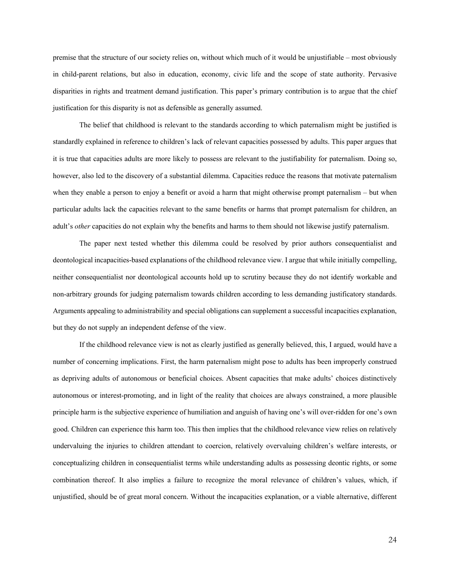premise that the structure of our society relies on, without which much of it would be unjustifiable – most obviously in child-parent relations, but also in education, economy, civic life and the scope of state authority. Pervasive disparities in rights and treatment demand justification. This paper's primary contribution is to argue that the chief justification for this disparity is not as defensible as generally assumed.

The belief that childhood is relevant to the standards according to which paternalism might be justified is standardly explained in reference to children's lack of relevant capacities possessed by adults. This paper argues that it is true that capacities adults are more likely to possess are relevant to the justifiability for paternalism. Doing so, however, also led to the discovery of a substantial dilemma. Capacities reduce the reasons that motivate paternalism when they enable a person to enjoy a benefit or avoid a harm that might otherwise prompt paternalism – but when particular adults lack the capacities relevant to the same benefits or harms that prompt paternalism for children, an adult's *other* capacities do not explain why the benefits and harms to them should not likewise justify paternalism.

The paper next tested whether this dilemma could be resolved by prior authors consequentialist and deontological incapacities-based explanations of the childhood relevance view. I argue that while initially compelling, neither consequentialist nor deontological accounts hold up to scrutiny because they do not identify workable and non-arbitrary grounds for judging paternalism towards children according to less demanding justificatory standards. Arguments appealing to administrability and special obligations can supplement a successful incapacities explanation, but they do not supply an independent defense of the view.

If the childhood relevance view is not as clearly justified as generally believed, this, I argued, would have a number of concerning implications. First, the harm paternalism might pose to adults has been improperly construed as depriving adults of autonomous or beneficial choices. Absent capacities that make adults' choices distinctively autonomous or interest-promoting, and in light of the reality that choices are always constrained, a more plausible principle harm is the subjective experience of humiliation and anguish of having one's will over-ridden for one's own good. Children can experience this harm too. This then implies that the childhood relevance view relies on relatively undervaluing the injuries to children attendant to coercion, relatively overvaluing children's welfare interests, or conceptualizing children in consequentialist terms while understanding adults as possessing deontic rights, or some combination thereof. It also implies a failure to recognize the moral relevance of children's values, which, if unjustified, should be of great moral concern. Without the incapacities explanation, or a viable alternative, different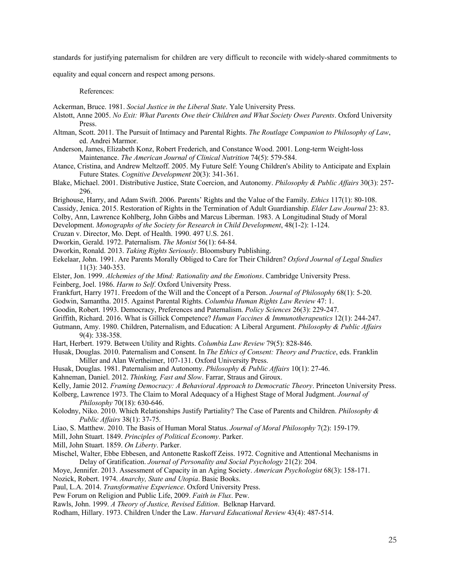standards for justifying paternalism for children are very difficult to reconcile with widely-shared commitments to

equality and equal concern and respect among persons.

References:

Ackerman, Bruce. 1981. *Social Justice in the Liberal State*. Yale University Press.

- Alstott, Anne 2005. *No Exit: What Parents Owe their Children and What Society Owes Parents*. Oxford University Press.
- Altman, Scott. 2011. The Pursuit of Intimacy and Parental Rights. *The Routlage Companion to Philosophy of Law*, ed. Andrei Marmor.
- Anderson, James, Elizabeth Konz, Robert Frederich, and Constance Wood. 2001. Long-term Weight-loss Maintenance. *The American Journal of Clinical Nutrition* 74(5): 579-584.
- Atance, Cristina, and Andrew Meltzoff. 2005. My Future Self: Young Children's Ability to Anticipate and Explain Future States. *Cognitive Development* 20(3): 341-361.
- Blake, Michael. 2001. Distributive Justice, State Coercion, and Autonomy. *Philosophy & Public Affairs* 30(3): 257- 296.
- Brighouse, Harry, and Adam Swift. 2006. Parents' Rights and the Value of the Family. *Ethics* 117(1): 80-108.
- Cassidy, Jenica. 2015. Restoration of Rights in the Termination of Adult Guardianship. *Elder Law Journal* 23: 83.
- Colby, Ann, Lawrence Kohlberg, John Gibbs and Marcus Liberman. 1983. A Longitudinal Study of Moral
- Development. *Monographs of the Society for Research in Child Development*, 48(1-2): 1-124.
- Cruzan v. Director, Mo. Dept. of Health. 1990. 497 U.S. 261.
- Dworkin, Gerald. 1972. Paternalism. *The Monist* 56(1): 64-84.
- Dworkin, Ronald. 2013. *Taking Rights Seriously*. Bloomsbury Publishing.
- Eekelaar, John. 1991. Are Parents Morally Obliged to Care for Their Children? *Oxford Journal of Legal Studies* 11(3): 340-353.
- Elster, Jon. 1999. *Alchemies of the Mind: Rationality and the Emotions*. Cambridge University Press. Feinberg, Joel. 1986. *Harm to Self*. Oxford University Press.
- Frankfurt, Harry 1971. Freedom of the Will and the Concept of a Person. *Journal of Philosophy* 68(1): 5-20.
- Godwin, Samantha. 2015. Against Parental Rights. *Columbia Human Rights Law Review* 47: 1.
- Goodin, Robert. 1993. Democracy, Preferences and Paternalism. *Policy Sciences* 26(3): 229-247.
- Griffith, Richard. 2016. What is Gillick Competence? *Human Vaccines & Immunotherapeutics* 12(1): 244-247.
- Gutmann, Amy. 1980. Children, Paternalism, and Education: A Liberal Argument. *Philosophy & Public Affairs* 9(4): 338-358.
- Hart, Herbert. 1979. Between Utility and Rights. *Columbia Law Review* 79(5): 828-846.
- Husak, Douglas. 2010. Paternalism and Consent. In *The Ethics of Consent: Theory and Practice*, eds. Franklin Miller and Alan Wertheimer, 107-131. Oxford University Press.
- Husak, Douglas. 1981. Paternalism and Autonomy. *Philosophy & Public Affairs* 10(1): 27-46.
- Kahneman, Daniel. 2012. *Thinking, Fast and Slow*. Farrar, Straus and Giroux.
- Kelly, Jamie 2012. *Framing Democracy: A Behavioral Approach to Democratic Theory*. Princeton University Press.
- Kolberg, Lawrence 1973. The Claim to Moral Adequacy of a Highest Stage of Moral Judgment. *Journal of Philosophy* 70(18): 630-646.
- Kolodny, Niko. 2010. Which Relationships Justify Partiality? The Case of Parents and Children. *Philosophy & Public Affairs* 38(1): 37-75.
- Liao, S. Matthew. 2010. The Basis of Human Moral Status. *Journal of Moral Philosophy* 7(2): 159-179.
- Mill, John Stuart. 1849. *Principles of Political Economy*. Parker.
- Mill, John Stuart. 1859. *On Liberty*. Parker.
- Mischel, Walter, Ebbe Ebbesen, and Antonette Raskoff Zeiss. 1972. Cognitive and Attentional Mechanisms in Delay of Gratification. *Journal of Personality and Social Psychology* 21(2): 204.
- Moye, Jennifer. 2013. Assessment of Capacity in an Aging Society. *American Psychologist* 68(3): 158-171.
- Nozick, Robert. 1974. *Anarchy, State and Utopia*. Basic Books.
- Paul, L.A. 2014. *Transformative Experience*. Oxford University Press.
- Pew Forum on Religion and Public Life, 2009. *Faith in Flux*. Pew.
- Rawls, John. 1999. *A Theory of Justice, Revised Edition*. Belknap Harvard.
- Rodham, Hillary. 1973. Children Under the Law. *Harvard Educational Review* 43(4): 487-514.